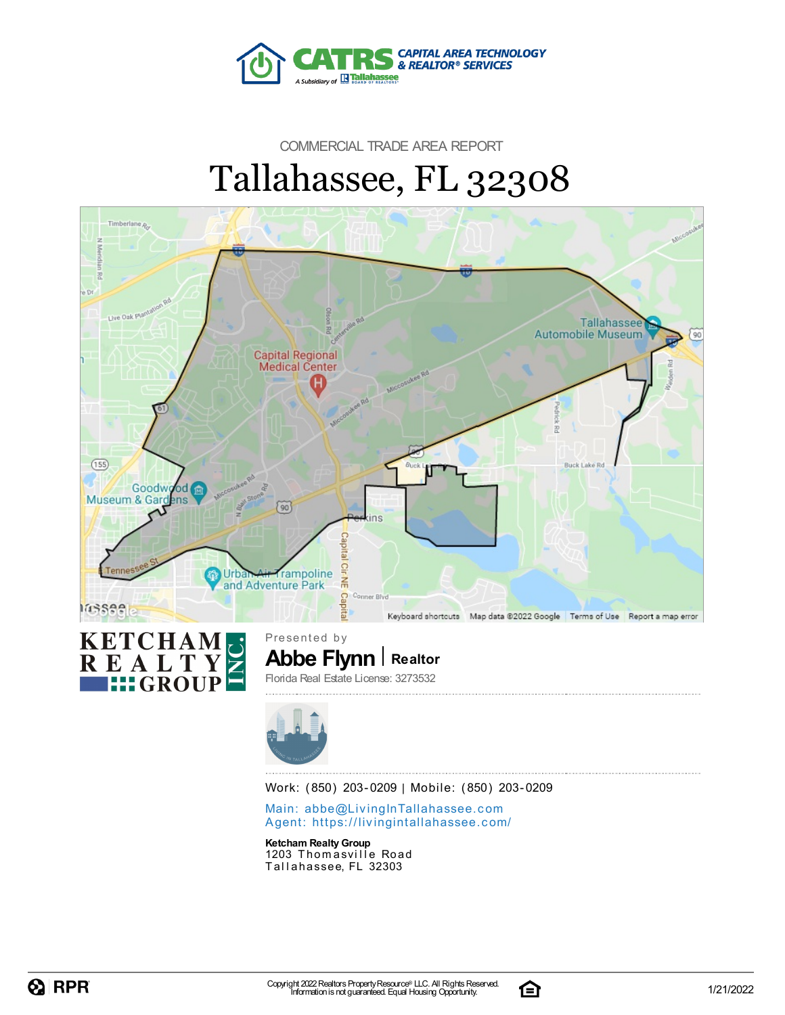

# COMMERCIAL TRADE AREA REPORT Tallahassee, FL 32308





**Abbe Flynn Realtor** Presented by Florida Real Estate License: 3273532



Work: (850) 203-0209 | Mobile: (850) 203-0209

Main: abbe@LivingInTallaha[sse](mailto:abbe@LivingInTallahassee.com)e.com Agent: https://livingintallaha[sse](https://livingintallahassee.com/)e.com/

**Ketcham RealtyGroup** 1203 Thomasville Road Tallahassee, FL 32303

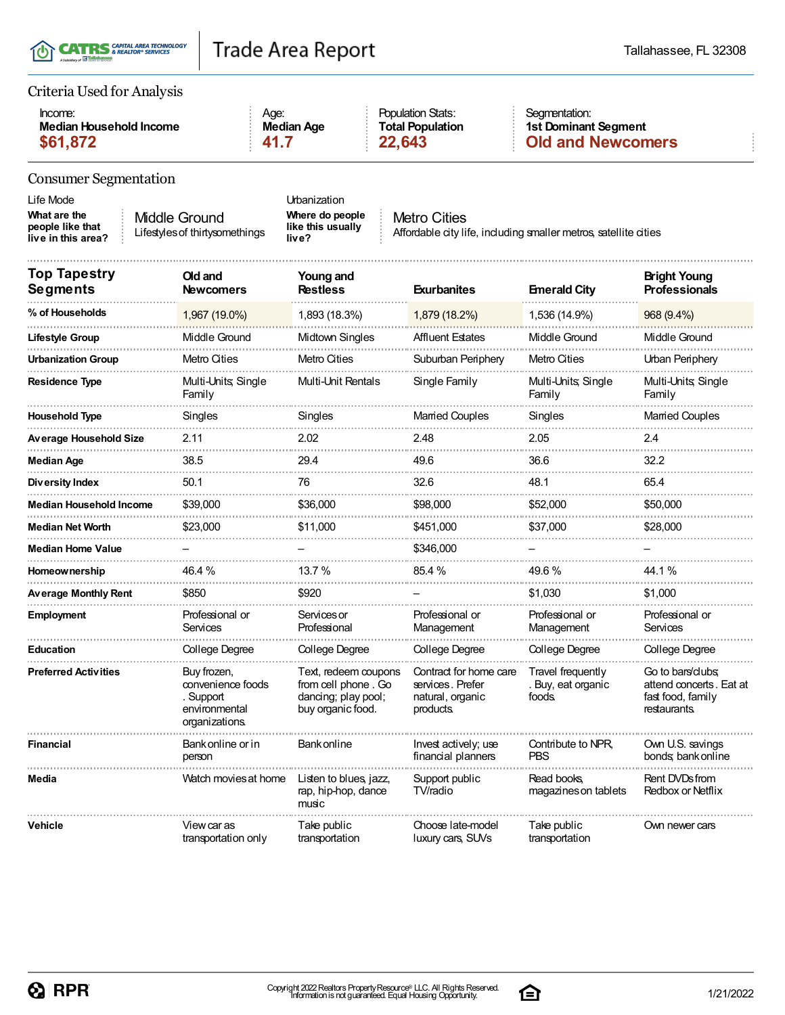|  | T(I) CATRS & REALTOR® SERVICES<br>A Subsidiary of <b>Exhibit Philippense</b> |
|--|------------------------------------------------------------------------------|
|--|------------------------------------------------------------------------------|

| Criteria Used for Analysis |
|----------------------------|
|----------------------------|

| Income:                 | Age:       | <b>Population Stats:</b> | Seamentation:            |
|-------------------------|------------|--------------------------|--------------------------|
| Median Household Income | Median Age | <b>Total Population</b>  | 1st Dominant Segment     |
| \$61,872                | - 41.7     | 22.643                   | <b>Old and Newcomers</b> |

### Consumer Segmentation

| CONSUMER Segmentation                                               |                                                                                  |                                                                                         |                                                                                         |                                                  |                                                                                   |
|---------------------------------------------------------------------|----------------------------------------------------------------------------------|-----------------------------------------------------------------------------------------|-----------------------------------------------------------------------------------------|--------------------------------------------------|-----------------------------------------------------------------------------------|
| Life Mode<br>What are the<br>people like that<br>live in this area? | Middle Ground<br>Lifestyles of thirtysomethings                                  | Urbanization<br>Where do people<br>like this usually<br>live?                           | <b>Metro Cities</b><br>Affordable city life, including smaller metros, satellite cities |                                                  |                                                                                   |
| Top Tapestry<br>Segments                                            | Old and<br>Newcomers                                                             | Young and<br><b>Restless</b>                                                            | <b>Exurbanites</b>                                                                      | <b>Emerald City</b>                              | <b>Bright Young</b><br><b>Professionals</b>                                       |
| % of Households                                                     | 1,967 (19.0%)                                                                    | 1,893 (18.3%)                                                                           | 1,879 (18.2%)                                                                           | 1,536 (14.9%)                                    | 968 (9.4%)                                                                        |
| Lifestyle Group                                                     | Middle Ground                                                                    | Midtown Singles                                                                         | <b>Affluent Estates</b>                                                                 | Middle Ground                                    | Middle Ground                                                                     |
| Urbanization Group                                                  | Metro Cities                                                                     | <b>Metro Cities</b>                                                                     | Suburban Periphery                                                                      | Metro Cities                                     | Urban Periphery                                                                   |
| Residence Type                                                      | Multi-Units, Single<br>Family                                                    | Multi-Unit Rentals                                                                      | Single Family                                                                           | Multi-Units, Single<br>Family                    | Multi-Units, Single<br>Family                                                     |
| Household Type                                                      | Singles                                                                          | Singles                                                                                 | <b>Married Couples</b>                                                                  | Singles                                          | <b>Married Couples</b>                                                            |
| Average Household Size                                              | 2.11                                                                             | 2.02                                                                                    | 2.48                                                                                    | 2.05                                             | 2.4                                                                               |
| Median Age                                                          | 38.5                                                                             | 29.4                                                                                    | 49.6                                                                                    | 36.6                                             | 32.2                                                                              |
| Diversity Index                                                     | 50.1                                                                             | 76                                                                                      | 32.6                                                                                    | 48.1                                             | 65.4                                                                              |
| Median Household Income                                             | \$39,000                                                                         | \$36,000                                                                                | \$98,000                                                                                | \$52,000                                         | \$50,000                                                                          |
| Median Net Worth                                                    | \$23,000                                                                         | \$11,000                                                                                | \$451,000                                                                               | \$37,000                                         | \$28,000                                                                          |
| Median Home Value                                                   |                                                                                  |                                                                                         | \$346,000                                                                               |                                                  |                                                                                   |
| Homeownership                                                       | 46.4 %                                                                           | 13.7 %                                                                                  | 85.4%                                                                                   | 49.6%                                            | 44.1 %                                                                            |
| Average Monthly Rent                                                | \$850                                                                            | \$920                                                                                   |                                                                                         | \$1,030                                          | \$1,000                                                                           |
| Employment                                                          | Professional or<br>Services                                                      | Services or<br>Professional                                                             | Professional or<br>Management                                                           | Professional or<br>Management                    | Professional or<br>Services                                                       |
| Education                                                           | College Degree                                                                   | College Degree                                                                          | College Degree                                                                          | College Degree                                   | College Degree                                                                    |
| <b>Preferred Activities</b>                                         | Buy frozen,<br>convenience foods<br>. Support<br>environmental<br>organizations. | Text, redeem coupons<br>from cell phone. Go<br>dancing; play pool;<br>buy organic food. | Contract for home care<br>services. Prefer<br>natural, organic<br>products              | Travel frequently<br>. Buy, eat organic<br>foods | Go to bars/clubs:<br>attend concerts. Eat at<br>fast food, family<br>restaurants. |
| Financial                                                           | Bank online or in<br>person                                                      | Bank online                                                                             | Invest actively; use<br>financial planners                                              | Contribute to NPR.<br><b>PBS</b>                 | Own U.S. savings<br>bonds; bank online                                            |
| Media                                                               | Watch movies at home                                                             | Listen to blues, jazz,<br>rap, hip-hop, dance<br>music                                  | Support public<br>TV/radio                                                              | Read books,<br>magazines on tablets              | Rent DVDs from<br>Redbox or Netflix                                               |
| Vehicle                                                             | View car as<br>transportation only                                               | Take public<br>transportation                                                           | Choose late-model<br>luxury cars, SUVs                                                  | Take public<br>transportation                    | Own newer cars                                                                    |

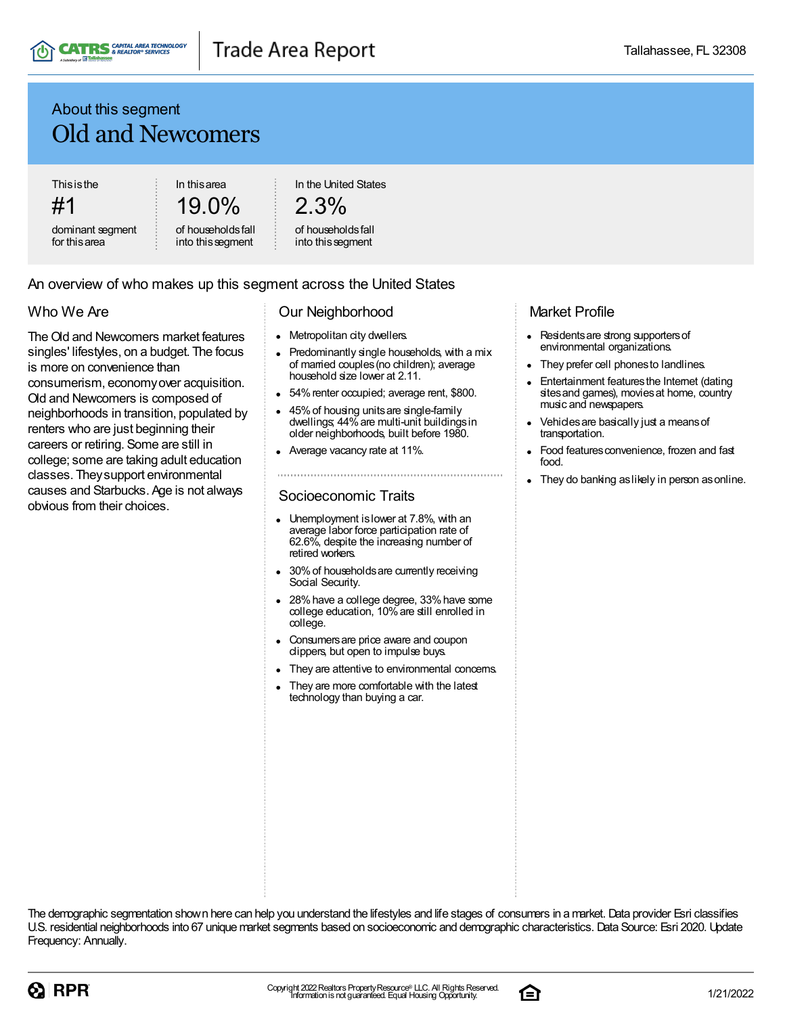

### About this segment Old and Newcomers

**Thisisthe** 

#1

dominant segment for thisarea

19.0% of householdsfall

into thissegment

In thisarea

In the United States

### 2.3%

#### of householdsfall into thissegment

### An overview of who makes up this segment across the United States

### Who We Are

The Old and Newcomers market features singles' lifestyles, on a budget. The focus is more on convenience than consumerism, economyover acquisition. Old and Newcomers is composed of neighborhoods in transition, populated by renters who are just beginning their careers or retiring. Some are still in college; some are taking adult education classes. Theysupport environmental causes and Starbucks. Age is not always obvious from their choices.

#### Our Neighborhood

- Metropolitan city dwellers.
- Predominantly single households, with a mix of married couples(no children); average household size lower at 2.11.
- 54% renter occupied; average rent, \$800.
- 45%of housing unitsare single-family  $\bullet$ dwellings; 44% are multi-unit buildings in older neighborhoods, built before 1980.
- Average vacancy rate at 11%.

### Socioeconomic Traits

- Unemployment is lower at 7.8%, with an average labor force participation rate of 62.6%, despite the increasing number of retired workers.
- 30% of households are currently receiving Social Security.
- 28% have a college degree, 33% have some college education, 10%are still enrolled in college.
- Consumersare price aware and coupon clippers, but open to impulse buys.
- They are attentive to environmental concerns.
- They are more comfortable with the latest technology than buying a car.

### Market Profile

- Residents are strong supporters of environmental organizations.
- They prefer cell phonesto landlines.
- Entertainment features the Internet (dating sites and games), movies at home, country music and newspapers.
- Vehiclesare basically just a meansof transportation.
- Food features convenience, frozen and fast food.
- They do banking aslikely in person asonline.



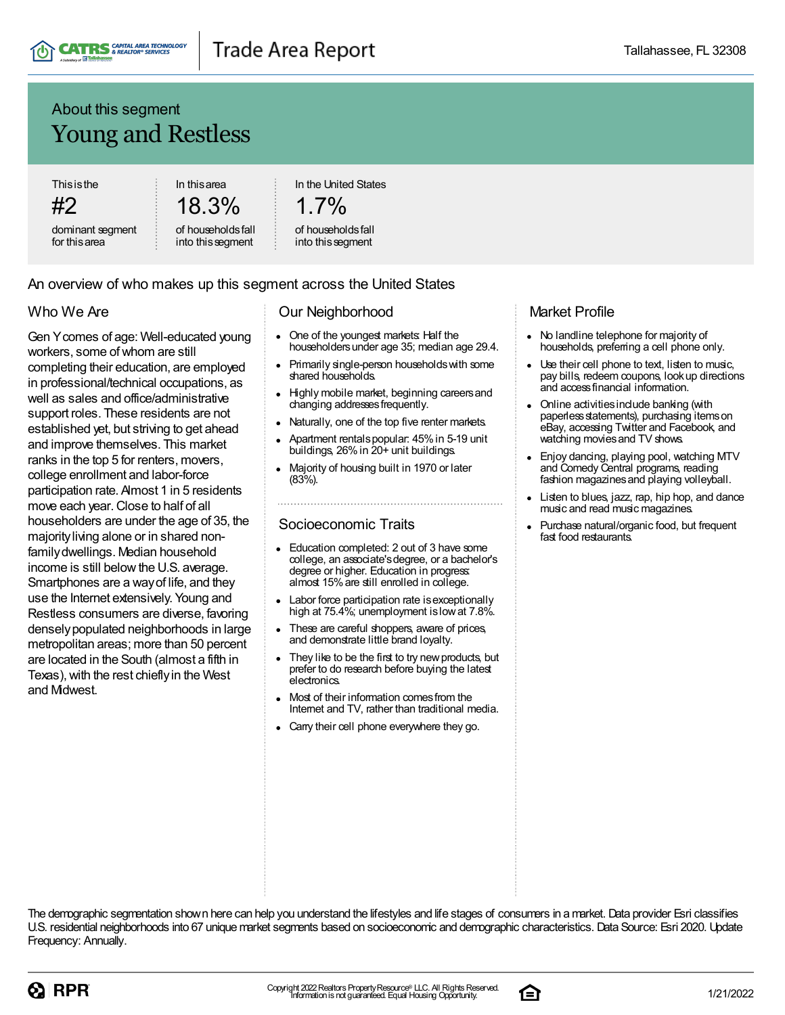

### About this segment Young and Restless

**Thisisthe** 

#2 dominant segment for thisarea

In thisarea 18.3% of householdsfall

into thissegment

In the United States

 $1.7\%$ 

#### of householdsfall into thissegment

### An overview of who makes up this segment across the United States

### Who We Are

Gen Ycomes of age: Well-educated young workers, some of whom are still completing their education, are employed in professional/technical occupations, as well as sales and office/administrative support roles. These residents are not established yet, but striving to get ahead and improve themselves. This market ranks in the top 5 for renters, movers, college enrollment and labor-force participation rate. Almost 1 in 5 residents move each year. Close to half of all householders are under the age of 35, the majorityliving alone or in shared nonfamilydwellings. Median household income is still below the U.S. average. Smartphones are a wayof life, and they use the Internet extensively. Young and Restless consumers are diverse, favoring denselypopulated neighborhoods in large metropolitan areas; more than 50 percent are located in the South (almost a fifth in Texas), with the rest chiefly in the West and Midwest.

### Our Neighborhood

- $\bullet$ One of the youngest markets: Half the householdersunder age 35; median age 29.4.
- Primarily single-person householdswith some shared households.
- Highly mobile market, beginning careersand changing addressesfrequently.
- Naturally, one of the top five renter markets.
- Apartment rentalspopular: 45%in 5-19 unit buildings, 26% in 20+ unit buildings.
- Majority of housing built in 1970 or later (83%).

#### Socioeconomic Traits

- Education completed: 2 out of 3 have some college, an associate'sdegree, or a bachelor's degree or higher. Education in progress: almost 15%are still enrolled in college.
- Labor force participation rate is exceptionally high at 75.4%; unemployment islowat 7.8%.
- These are careful shoppers, aware of prices, and demonstrate little brand loyalty.
- They like to be the first to try new products, but prefer to do research before buying the latest electronics.
- Most of their information comesfrom the Internet and TV, rather than traditional media.
- Carry their cell phone everywhere they go.

### Market Profile

- No landline telephone for majority of households, preferring a cell phone only.
- Use their cell phone to text, listen to music, pay bills, redeem coupons, lookup directions and accessfinancial information.
- Online activitiesinclude banking (with paperless statements), purchasing items on eBay, accessing Twitter and Facebook, and watching movies and TV shows.
- Enjoy dancing, playing pool, watching MTV and Comedy Central programs, reading fashion magazines and playing volleyball.
- Listen to blues, jazz, rap, hip hop, and dance music and read music magazines.
- Purchase natural/organic food, but frequent fast food restaurants.



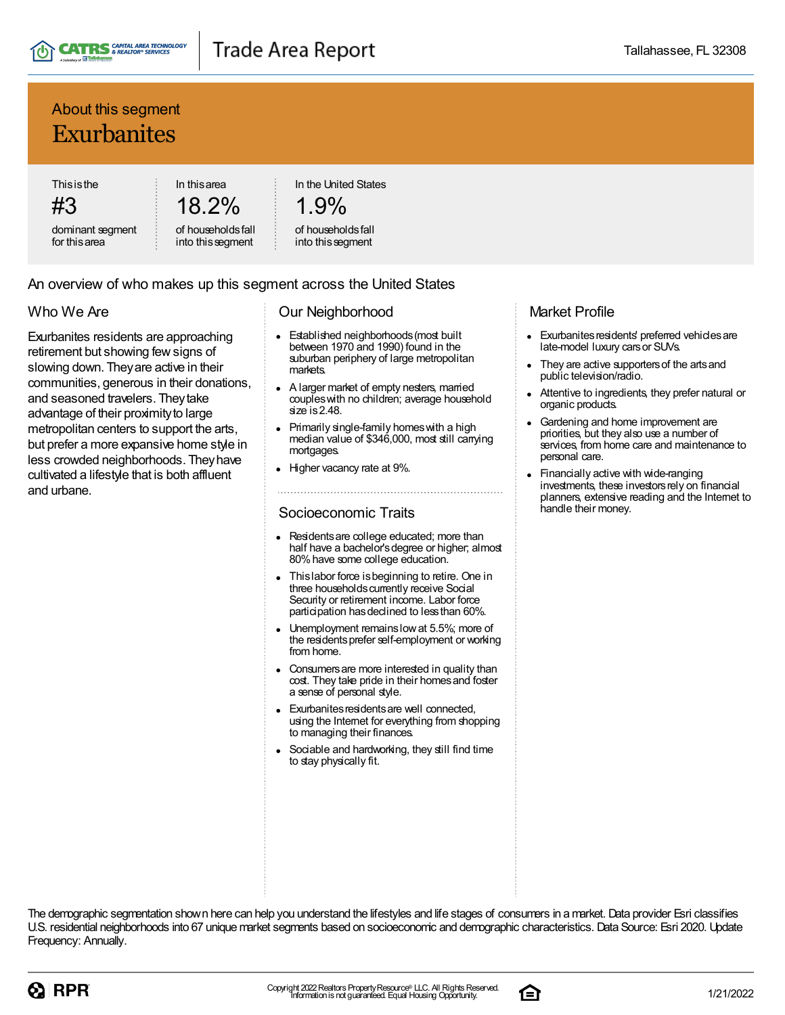

### About this segment Exurbanites

**Thisisthe** 

#3 dominant segment for thisarea

18.2% of householdsfall

into thissegment

In thisarea

In the United States

# 1.9%

#### of householdsfall into thissegment

### An overview of who makes up this segment across the United States

### Who We Are

Exurbanites residents are approaching retirement but showing fewsigns of slowing down. Theyare active in their communities, generous in their donations, and seasoned travelers. Theytake advantage of their proximity to large metropolitan centers to support the arts, but prefer a more expansive home style in less crowded neighborhoods. Theyhave cultivated a lifestyle that is both affluent and urbane.

### Our Neighborhood

- Established neighborhoods(most built  $\bullet$ between 1970 and 1990) found in the suburban periphery of large metropolitan markets.
- A larger market of empty nesters, married coupleswith no children; average household size is 2.48.
- Primarily single-family homes with a high median value of \$346,000, most still carrying mortgages.
- Higher vacancy rate at 9%.

### Socioeconomic Traits

- Residentsare college educated; more than half have a bachelor's degree or higher; almost 80%have some college education.
- Thislabor force isbeginning to retire. One in three households currently receive Social Security or retirement income. Labor force participation has declined to less than 60%.
- Unemployment remainslowat 5.5%; more of the residentsprefer self-employment or working from home.
- Consumersare more interested in quality than cost. They take pride in their homes and foster a sense of personal style.
- Exurbanites residents are well connected, using the Internet for everything from shopping to managing their finances.
- Sociable and hardworking, they still find time to stay physically fit.

### Market Profile

- Exurbanites residents' preferred vehicles are late-model luxury carsor SUVs.
- They are active supporters of the arts and public television/radio.
- Attentive to ingredients, they prefer natural or organic products.
- Gardening and home improvement are priorities, but they also use a number of services, from home care and maintenance to personal care.
- Financially active with wide-ranging investments, these investors rely on financial planners, extensive reading and the Internet to handle their money.



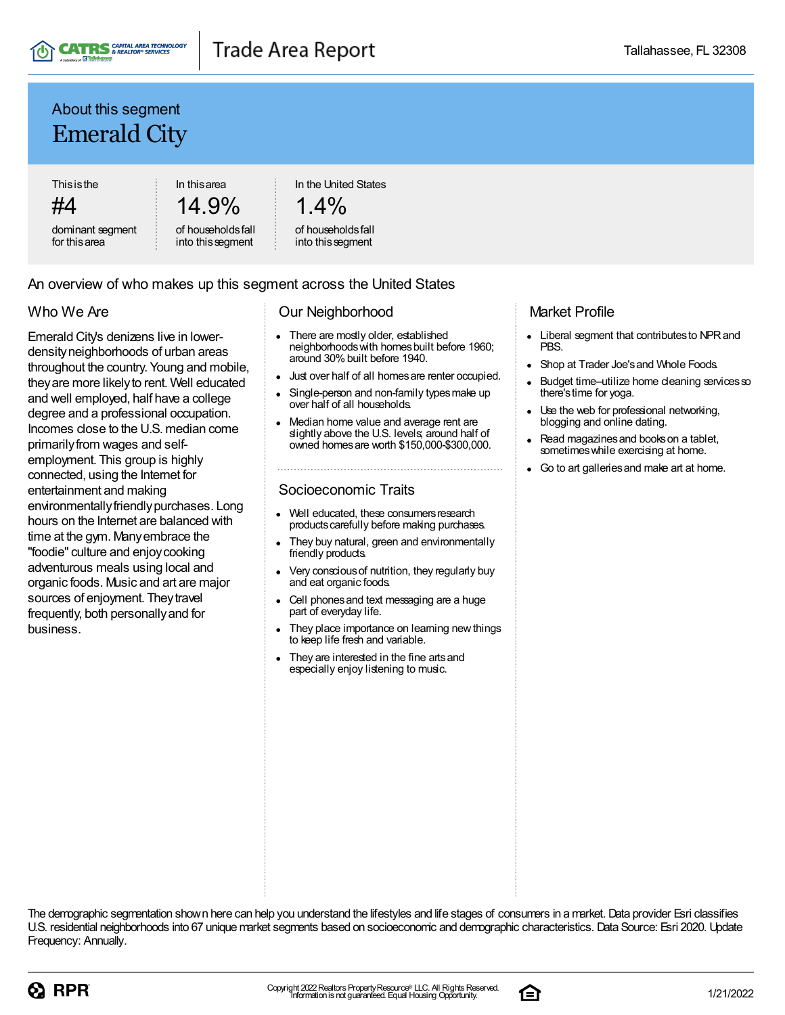

### About this segment Emerald City

**Thisisthe** 

#4

dominant segment for thisarea

In thisarea 14.9% In the United States

$$
1.4\%
$$

of householdsfall into thissegment

of householdsfall into thissegment

### An overview of who makes up this segment across the United States

### Who We Are

Emerald City's denizens live in lowerdensityneighborhoods of urban areas throughout the country. Young and mobile, theyare more likelyto rent. Well educated and well employed, half have a college degree and a professional occupation. Incomes close to the U.S. median come primarily from wages and selfemployment. This group is highly connected, using the Internet for entertainment and making environmentally friendly purchases. Long hours on the Internet are balanced with time at the gym. Manyembrace the "foodie" culture and enjoycooking adventurous meals using local and organic foods. Music and art are major sources of enjoyment. They travel frequently, both personallyand for business.

### Our Neighborhood

- $\bullet$ There are mostly older, established neighborhoodswith homesbuilt before 1960; around 30% built before 1940.
- Just over half of all homesare renter occupied.
- Single-person and non-family typesmake up over half of all households.
- Median home value and average rent are slightly above the U.S. levels; around half of owned homesare worth \$150,000-\$300,000.

### Socioeconomic Traits

- Well educated, these consumers research products carefully before making purchases.
- They buy natural, green and environmentally friendly products.
- Very consciousof nutrition, they regularly buy and eat organic foods.
- Cell phonesand text messaging are a huge part of everyday life.
- They place importance on learning new things to keep life fresh and variable.
- They are interested in the fine artsand especially enjoy listening to music.

### Market Profile

- $\bullet$ Liberal segment that contributesto NPRand PBS.
- Shop at Trader Joe'sand Whole Foods.
- $\bullet$ Budget time-utilize home cleaning services so there'stime for yoga.
- Use the web for professional networking,  $\bullet$ blogging and online dating.
- Read magazinesand bookson a tablet, sometimes while exercising at home.
- Go to art galleriesand make art at home.



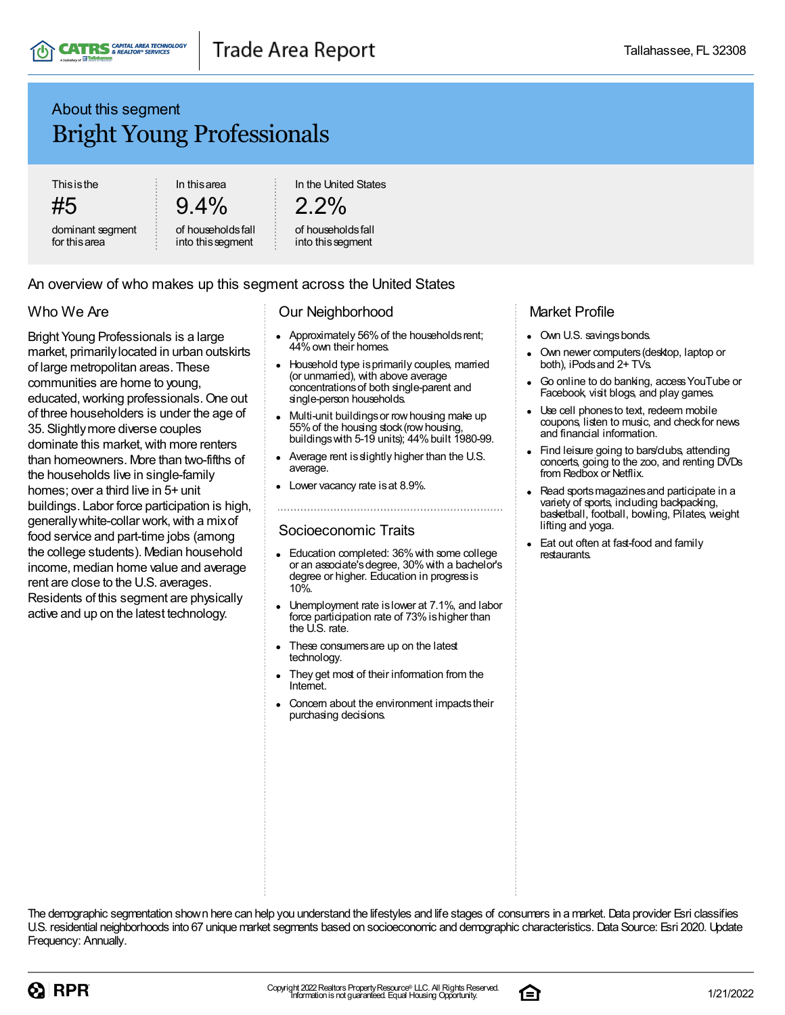### About this segment Bright Young Professionals

**Thisisthe** 

#5

dominant segment for thisarea

In thisarea  $9.4\%$ 

of householdsfall into thissegment

In the United States

### $2.2\%$

#### of householdsfall into this segment

### An overview of who makes up this segment across the United States

### Who We Are

Bright Young Professionals is a large market, primarilylocated in urban outskirts of large metropolitan areas. These communities are home to young, educated,working professionals.One out of three householders is under the age of 35. Slightlymore diverse couples dominate this market, with more renters than homeowners. More than two-fifths of the households live in single-family homes; over a third live in 5+ unit buildings. Labor force participation is high, generally white-collar work, with a mix of food service and part-time jobs (among the college students). Median household income, median home value and average rent are close to the U.S. averages. Residents of this segment are physically active and up on the latest technology.

### Our Neighborhood

- Approximately 56% of the households rent; 44%own their homes.
- Household type is primarily couples, married (or unmarried), with above average concentrationsof both single-parent and single-person households.
- Multi-unit buildings or row housing make up  $\bullet$ 55%of the housing stock(rowhousing, buildings with  $5-19$  units);  $44\%$  built 1980-99.
- Average rent is slightly higher than the U.S. average.
- Lower vacancy rate isat 8.9%.

#### Socioeconomic Traits

- Education completed: 36% with some college or an associate'sdegree, 30%with a bachelor's degree or higher. Education in progress is 10%.
- Unemployment rate islower at 7.1%, and labor force participation rate of 73% is higher than the U.S. rate.
- These consumers are up on the latest technology.
- They get most of their information from the Internet.
- Concern about the environment impacts their purchasing decisions.

### Market Profile

- Own U.S. savings bonds.
- Own newer computers(desktop, laptop or both), iPodsand 2+ TVs.
- Go online to do banking, accessYouTube or Facebook, visit blogs, and play games.
- Use cell phonesto text, redeem mobile coupons, listen to music, and checkfor news and financial information.
- Find leisure going to bars/clubs, attending concerts, going to the zoo, and renting DVDs from Redbox or Netflix.
- Read sports magazines and participate in a variety of sports, including backpacking, basketball, football, bowling, Pilates, weight lifting and yoga.
- Eat out often at fast-food and family restaurants.



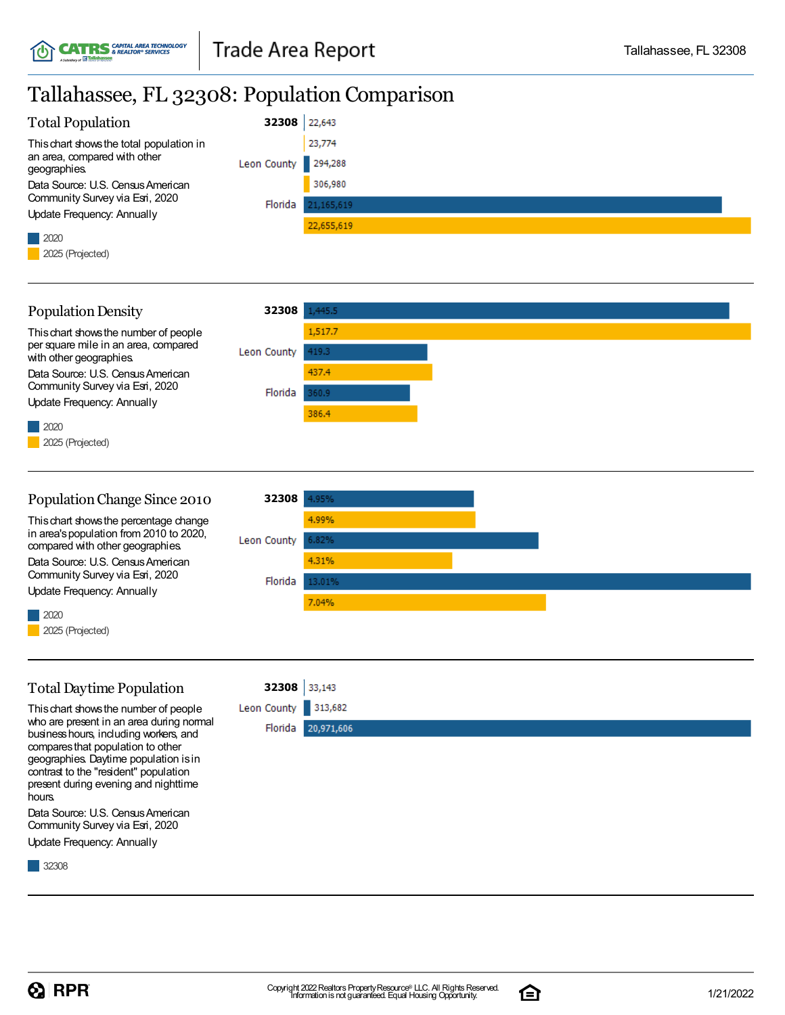## Tallahassee, FL 32308: Population Comparison

| <b>Total Population</b>                      | 32308               | 22,643     |
|----------------------------------------------|---------------------|------------|
| This chart shows the total population in     |                     | 23,774     |
| an area, compared with other<br>geographies. | Leon County 294,288 |            |
| Data Source: U.S. Census American            |                     | 306,980    |
| Community Survey via Esri, 2020              | Florida             | 21,165,619 |
| Update Frequency: Annually                   |                     |            |
|                                              |                     | 22,655,619 |
|                                              |                     |            |
| 2025 (Projected)                             |                     |            |



#### PopulationChange Since 2010 **32308** 4.95% Thischart showsthe percentage change 4.99% in area'spopulation from 2010 to 2020, Leon County compared with other geographies. 4.31% Data Source: U.S. Census American Community Survey via Esri, 2020 Florida 13.01% Update Frequency: Annually 7.04% 2020 2025 (Projected)

### TotalDaytime Population

**32308**

Thischart showsthe number of people who are present in an area during normal businesshours, including workers, and comparesthat population to other geographies. Daytime population isin contrast to the "resident" population present during evening and nighttime hours.

Data Source: U.S. Census American Community Survey via Esri, 2020

Update Frequency: Annually

32308



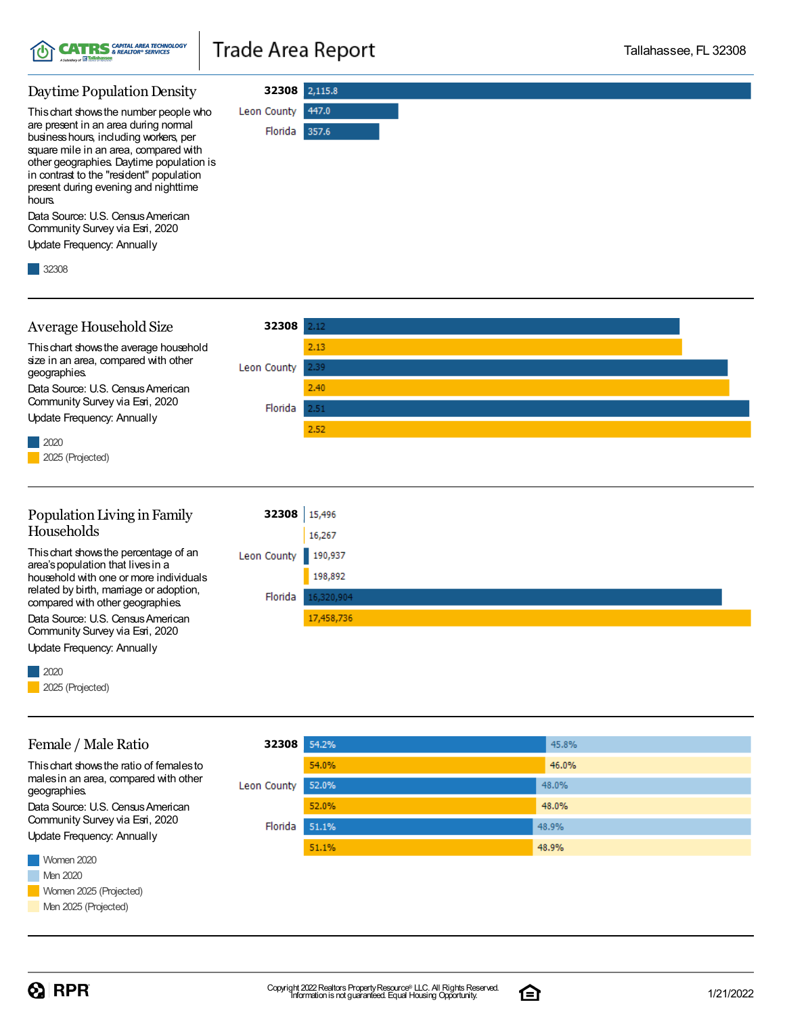

# **Trade Area Report**

**32308**

Florida 357.6

447.0

Leon County

#### Daytime Population Density

Thischart showsthe number people who are present in an area during normal businesshours, including workers, per square mile in an area, compared with other geographies. Daytime population is in contrast to the "resident" population present during evening and nighttime hours.

Data Source: U.S. Census American Community Survey via Esri, 2020

Update Frequency: Annually

32308



Data Source: U.S. Census American Community Survey via Esri, 2020 Update Frequency: Annually

2020

Female / Male Ratio

Thischart showsthe ratio of femalesto malesin an area, compared with other

Data Source: U.S. Census American Community Survey via Esri, 2020 Update Frequency: Annually

2025 (Projected)

geographies.

#### **32308** 54.2% 45.8% 54.0% 46.0% 52.0% 48.0% Leon County 52.0% 48.0% Florida 51.1% 48.9% 48.9% 51.1%

Women 2020 **Men 2020** Women 2025 (Projected) Men 2025 (Projected)

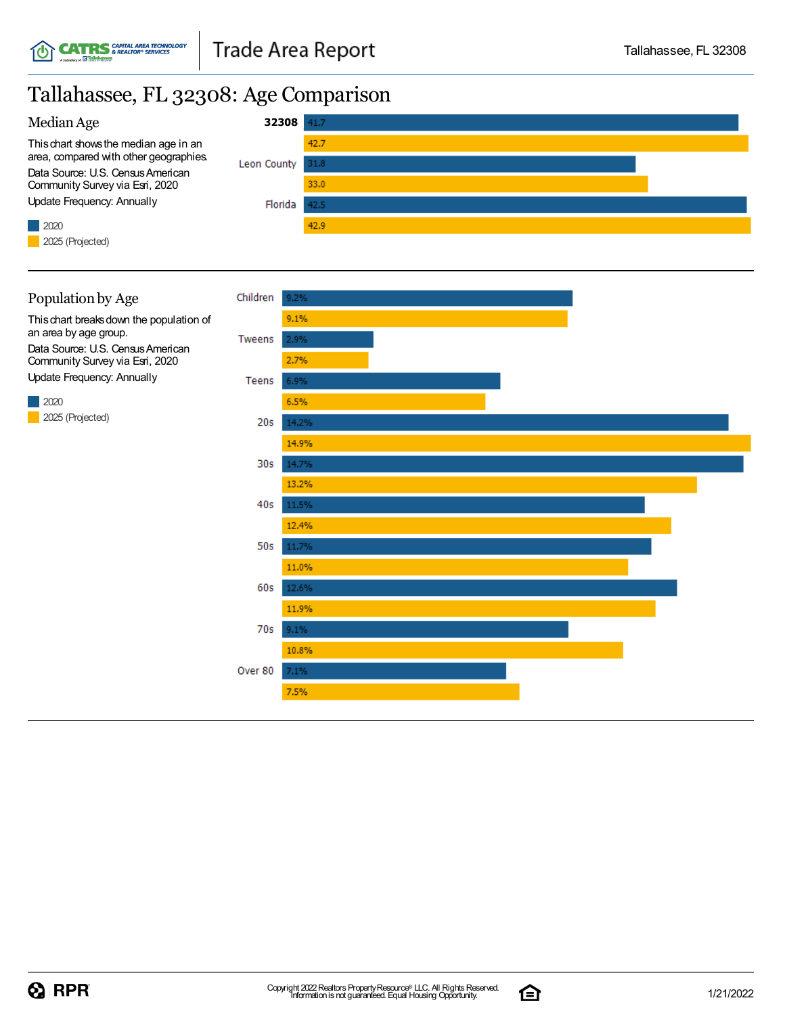### Tallahassee, FL 32308: Age Comparison







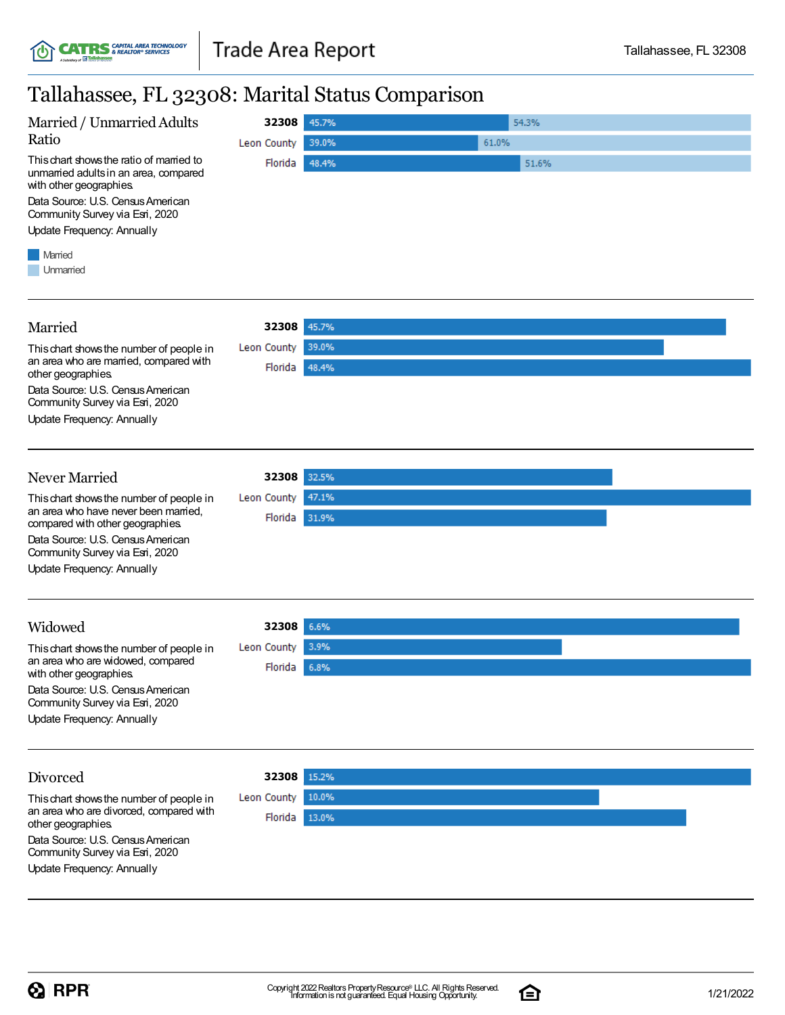### Tallahassee, FL 32308: Marital Status Comparison



#### Married **32308** Thischart showsthe number of people in Leon County 39.0% an area who are married, compared with Florida 48.4% other geographies. Data Source: U.S. Census American Community Survey via Esri, 2020 Update Frequency: Annually Never Married **32308** Thischart showsthe number of people in Leon County 47.1% an area who have never been married, Florida 31.9% compared with other geographies. Data Source: U.S. Census American Community Survey via Esri, 2020 Update Frequency: Annually Widowed **32308** Leon County 3.9% Thischart showsthe number of people in an area who are widowed, compared Florida | 6.8% with other geographies. Data Source: U.S. Census American Community Survey via Esri, 2020 Update Frequency: Annually Divorced **32308** Thischart showsthe number of people in Leon County 10.0% an area who are divorced, compared with Florida 13.0% other geographies. Data Source: U.S. Census American Community Survey via Esri, 2020 Update Frequency: Annually

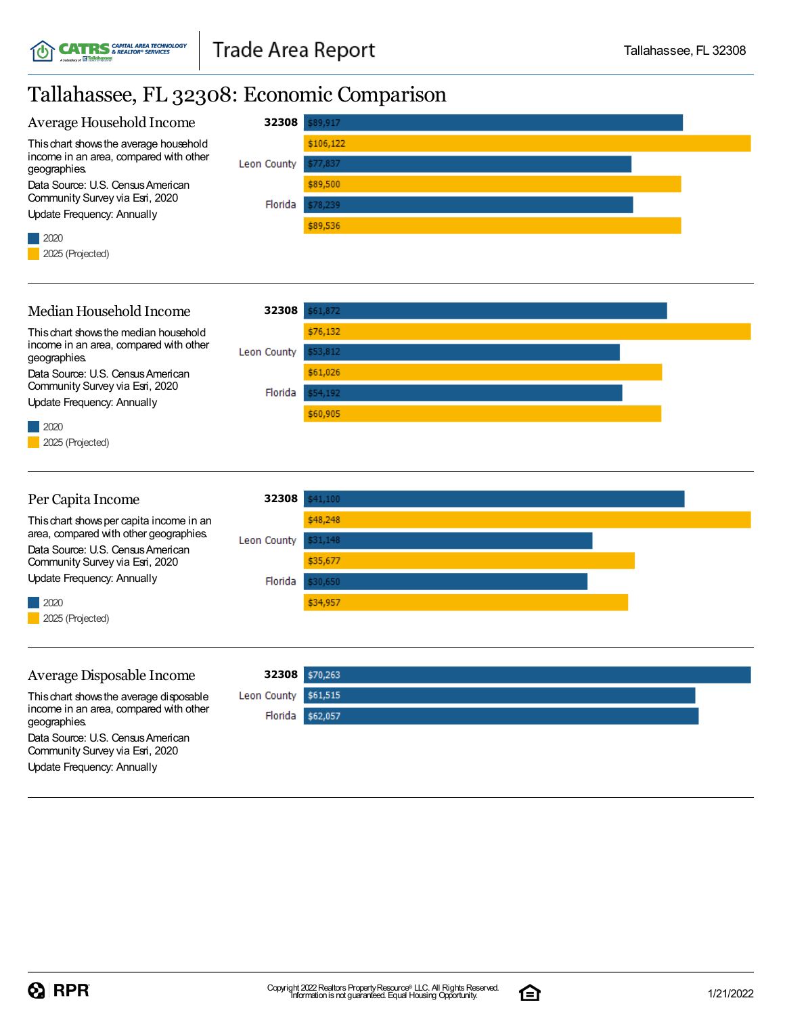## Tallahassee, FL 32308: Economic Comparison



#### Average Disposable Income

Thischart showsthe average disposable income in an area, compared with other geographies. Data Source: U.S. Census American Community Survey via Esri, 2020

Update Frequency: Annually

2025 (Projected)

**32308** Leon County \$61,515 Florida \$62,057

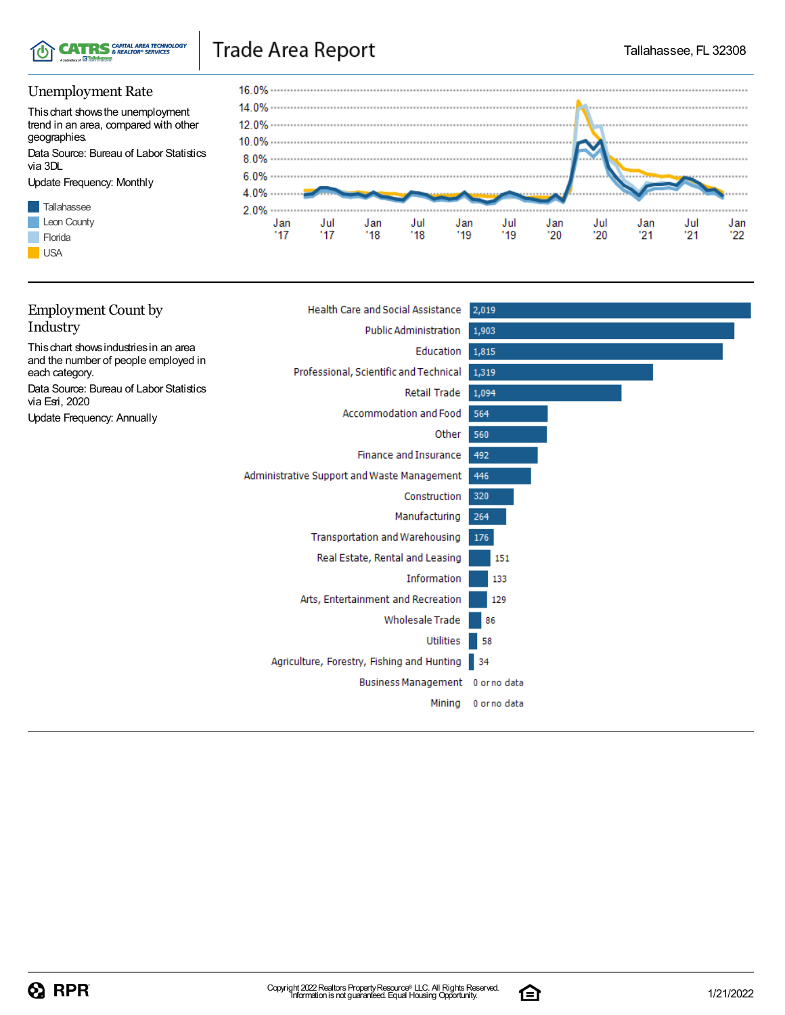

# Trade Area Report

### Unemployment Rate

Thischart showsthe unemployment trend in an area, compared with other geographies.

Data Source: Bureau of Labor Statistics via 3DL

Update Frequency: Monthly





| <b>Employment Count by</b>                                | <b>Health Care and Social Assistance</b>      | 2,019        |
|-----------------------------------------------------------|-----------------------------------------------|--------------|
| Industry                                                  | Public Administration                         | 1,903        |
| This chart shows industries in an area                    | Education                                     | 1,815        |
| and the number of people employed in<br>each category.    | Professional, Scientific and Technical        | 1,319        |
| Data Source: Bureau of Labor Statistics<br>via Esri, 2020 | Retail Trade                                  | 1,094        |
| Update Frequency: Annually                                | Accommodation and Food                        | 564          |
|                                                           | Other                                         | 560          |
|                                                           | <b>Finance and Insurance</b>                  | 492          |
|                                                           | Administrative Support and Waste Management   | 446          |
|                                                           | Construction                                  | 320          |
|                                                           | Manufacturing                                 | 264          |
|                                                           | Transportation and Warehousing                | 176          |
|                                                           | Real Estate, Rental and Leasing               | 151          |
|                                                           | Information                                   | 133          |
|                                                           | Arts, Entertainment and Recreation            | 129          |
|                                                           | <b>Wholesale Trade</b>                        | 86           |
|                                                           | Utilities                                     | 58           |
|                                                           | Agriculture, Forestry, Fishing and Hunting 34 |              |
|                                                           | Business Management 0 or no data              |              |
|                                                           | Mining                                        | 0 or no data |
|                                                           |                                               |              |

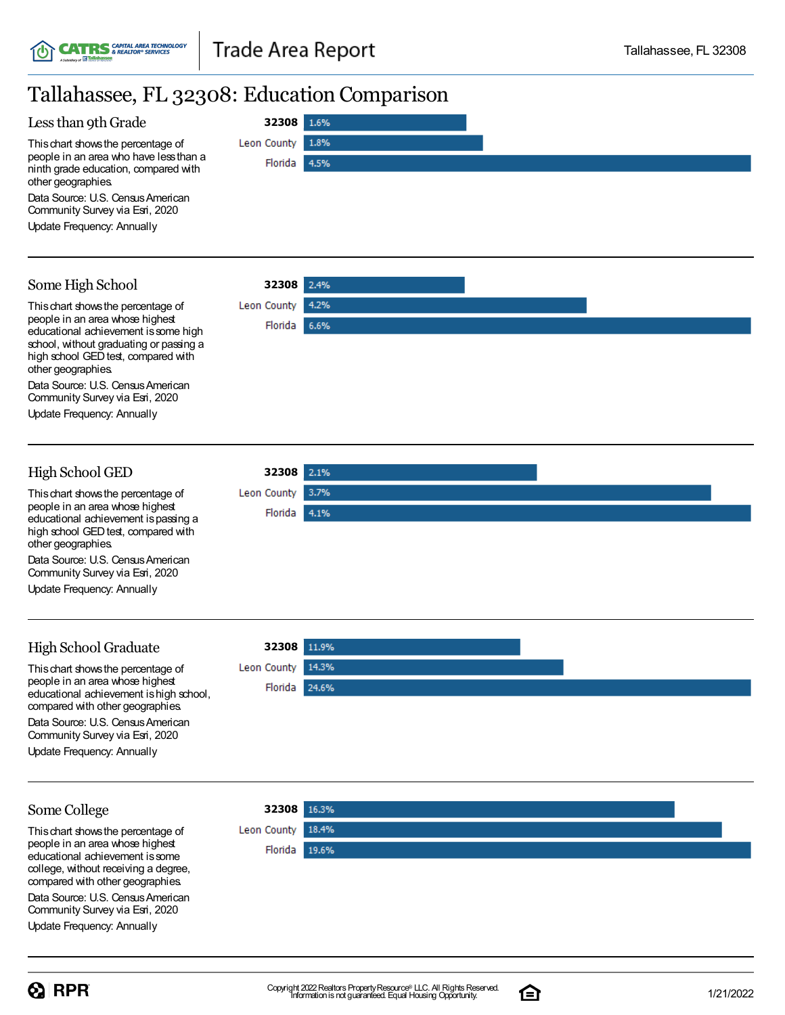**32308**

Florida

Leon County

1.6%

1.8%

4.5%

2.4%

4.2%

6.6%

**32308**

Florida

Leon County

**32308**

Leon County Florida | 3.7%

4.1%

# Tallahassee, FL 32308: Education Comparison

#### Less than 9th Grade

Thischart showsthe percentage of people in an area who have lessthan a ninth grade education, compared with other geographies.

Data Source: U.S. Census American Community Survey via Esri, 2020

Update Frequency: Annually

### Some High School



Data Source: U.S. Census American Community Survey via Esri, 2020

Update Frequency: Annually

### High School GED

Thischart showsthe percentage of people in an area whose highest educational achievement ispassing a high school GED test, compared with other geographies.

Data Source: U.S. Census American Community Survey via Esri, 2020

Update Frequency: Annually

### High School Graduate

This chart shows the percentage of people in an area whose highest educational achievement ishigh school, compared with other geographies. Data Source: U.S. Census American Community Survey via Esri, 2020

Update Frequency: Annually

### **32308** Leon County 14.3% Florida 24.6%

### Some College

Thischart showsthe percentage of people in an area whose highest educational achievement issome college, without receiving a degree, compared with other geographies.

Data Source: U.S. Census American Community Survey via Esri, 2020

Update Frequency: Annually





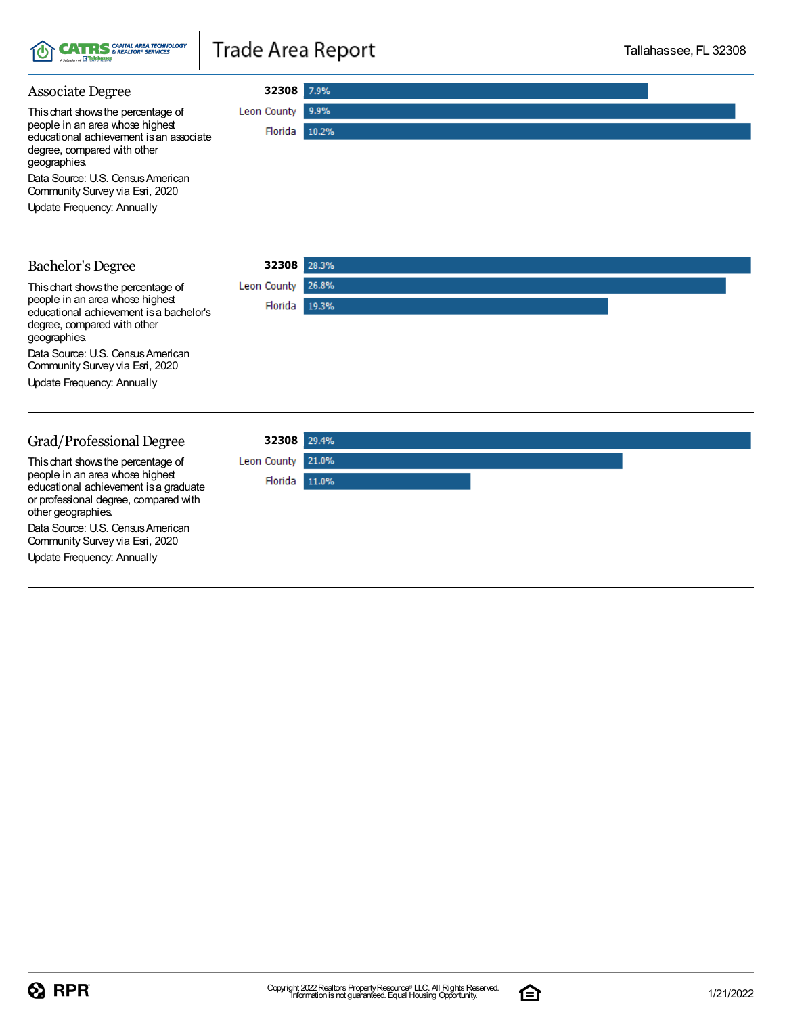

# **Trade Area Report**

**32308**

Florida 10.2%

9.9%

Leon County

#### Associate Degree

Thischart showsthe percentage of people in an area whose highest educational achievement isan associate degree, compared with other geographies.

Data Source: U.S. Census American Community Survey via Esri, 2020

Update Frequency: Annually

#### Bachelor's Degree

geographies.

**32308** Thischart showsthe percentage of Leon County 26.8% people in an area whose highest Florida 19.3% educational achievement isa bachelor's degree, compared with other Data Source: U.S. Census American Community Survey via Esri, 2020 Update Frequency: Annually Grad/Professional Degree **32308**

Thischart showsthe percentage of people in an area whose highest educational achievement isa graduate or professional degree, compared with other geographies.

Data Source: U.S. Census American Community Survey via Esri, 2020

Update Frequency: Annually

| 32308 29.4%       |  |
|-------------------|--|
| Leon County 21.0% |  |
| Florida 11.0%     |  |
|                   |  |
|                   |  |
|                   |  |

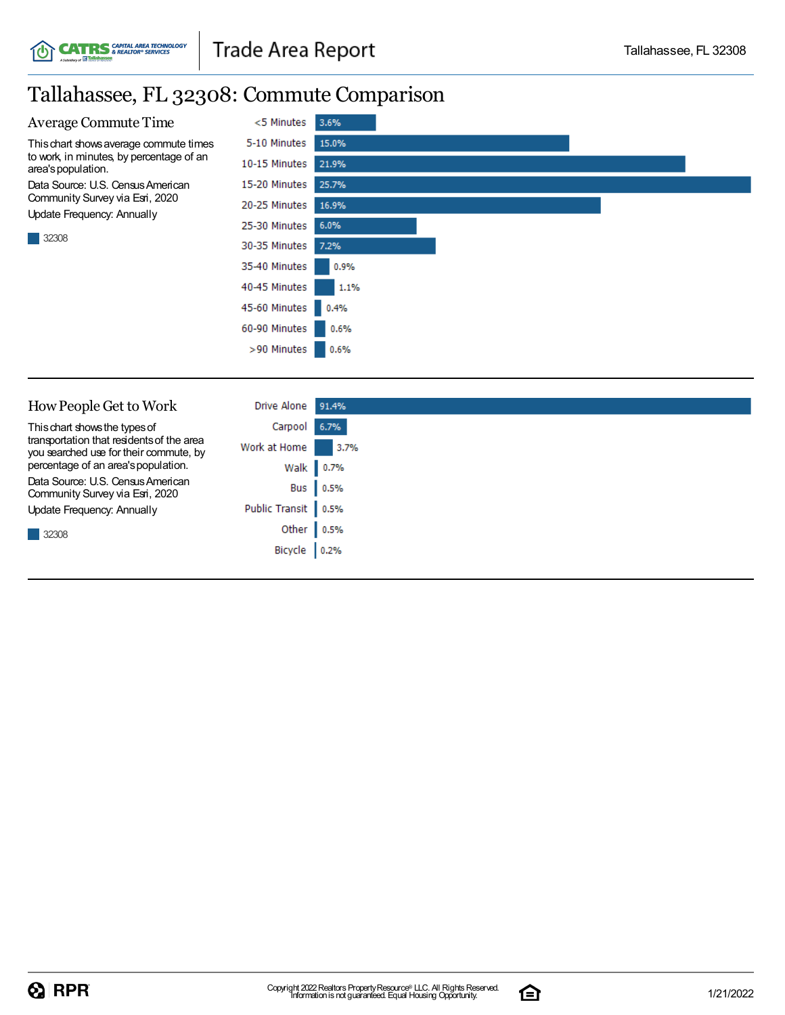### Tallahassee, FL 32308: Commute Comparison

**CATRS** *GAPITAL AREA TECHNOLOGY* 



| How People Get to Work                                                              | <b>Drive Alone</b>  | 91.4%     |
|-------------------------------------------------------------------------------------|---------------------|-----------|
| This chart shows the types of                                                       | Carpool 6.7%        |           |
| transportation that residents of the area<br>you searched use for their commute, by | Work at Home        | 3.7%      |
| percentage of an area's population.                                                 |                     | Walk 0.7% |
| Data Source: U.S. Census American<br>Community Survey via Esri, 2020                |                     | Bus 0.5%  |
| Update Frequency: Annually                                                          | Public Transit 0.5% |           |
| 32308                                                                               | Other 0.5%          |           |
|                                                                                     | Bicycle 0.2%        |           |
|                                                                                     |                     |           |

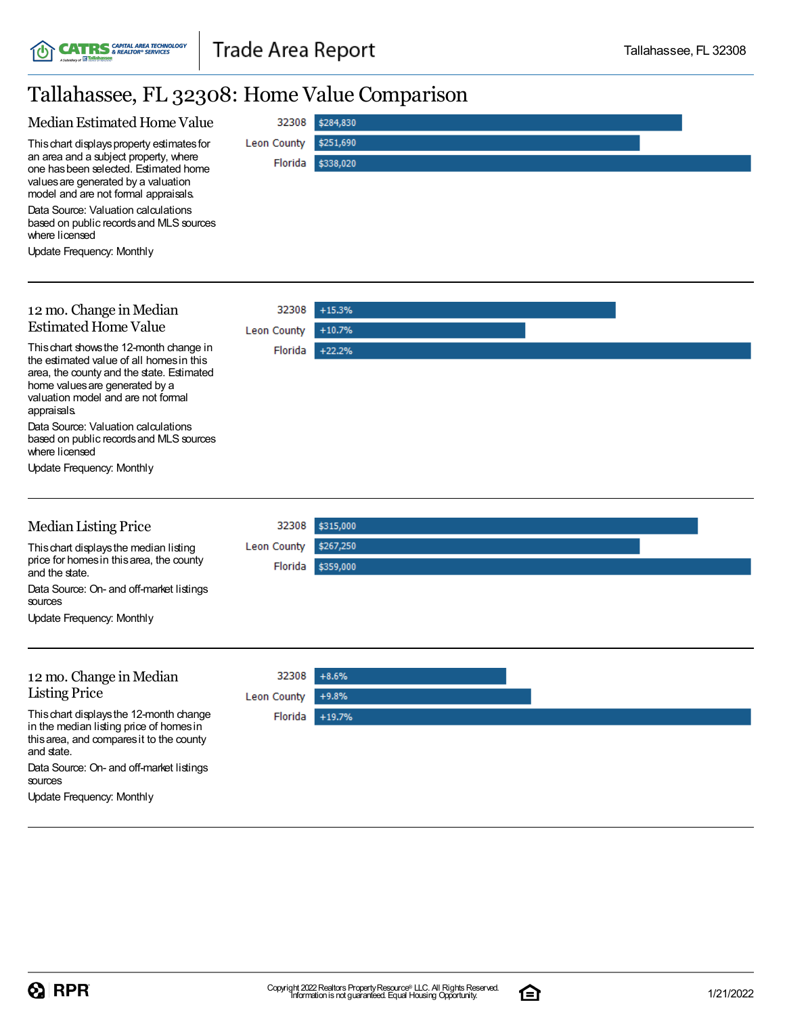

# Tallahassee, FL 32308: Home Value Comparison

| Median Estimated Home Value                                                                                                                                                                                                                                                                                     | 32308                       | \$284,830              |
|-----------------------------------------------------------------------------------------------------------------------------------------------------------------------------------------------------------------------------------------------------------------------------------------------------------------|-----------------------------|------------------------|
| This chart displays property estimates for<br>an area and a subject property, where<br>one has been selected. Estimated home<br>values are generated by a valuation<br>model and are not formal appraisals.<br>Data Source: Valuation calculations<br>based on public records and MLS sources<br>where licensed | Leon County<br>Florida      | \$251,690<br>\$338,020 |
| Update Frequency: Monthly                                                                                                                                                                                                                                                                                       |                             |                        |
| 12 mo. Change in Median<br><b>Estimated Home Value</b>                                                                                                                                                                                                                                                          | 32308<br><b>Leon County</b> | $+15.3%$<br>$+10.7%$   |
| This chart shows the 12-month change in<br>the estimated value of all homes in this<br>area, the county and the state. Estimated<br>home values are generated by a<br>valuation model and are not formal<br>appraisals.                                                                                         | Florida                     | $+22.2%$               |
| Data Source: Valuation calculations<br>based on public records and MLS sources<br>where licensed                                                                                                                                                                                                                |                             |                        |
| Update Frequency: Monthly                                                                                                                                                                                                                                                                                       |                             |                        |
| <b>Median Listing Price</b>                                                                                                                                                                                                                                                                                     | 32308                       | \$315,000              |
| This chart displays the median listing<br>price for homes in this area, the county<br>and the state.<br>Data Source: On- and off-market listings                                                                                                                                                                | Leon County<br>Florida      | \$267,250<br>\$359,000 |
| sources<br><b>Update Frequency: Monthly</b>                                                                                                                                                                                                                                                                     |                             |                        |
|                                                                                                                                                                                                                                                                                                                 |                             |                        |
| 12 mo. Change in Median<br><b>Listing Price</b>                                                                                                                                                                                                                                                                 | 32308<br><b>Leon County</b> | $+8.6%$<br>$+9.8%$     |
| This chart displays the 12-month change<br>in the median listing price of homes in<br>this area, and compares it to the county<br>and state.<br>Data Source: On- and off-market listings<br>sources                                                                                                             | Florida                     | $+19.7%$               |
| Update Frequency: Monthly                                                                                                                                                                                                                                                                                       |                             |                        |

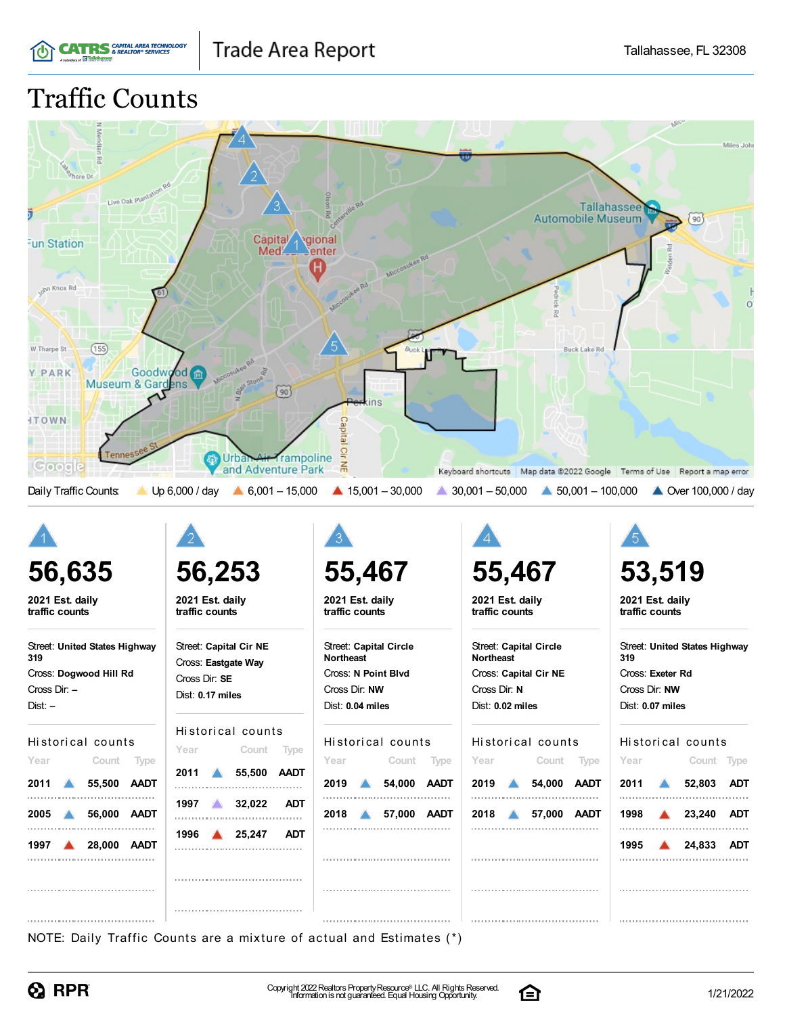# Traffic Counts

**CATRS** GAPITAL AREA TECHNOLOGY



Cross Dir: **–** Dist: **–**

Historical counts

| Year | Count Type                |  |
|------|---------------------------|--|
|      | 2011 6 55,500 AADT        |  |
|      | 2005 56.000 AADT          |  |
|      | 1997 <b>4 28,000 AADT</b> |  |
|      |                           |  |
|      |                           |  |

Dist: **0.17 miles**

#### Historical counts

| Year | Count Type               |  |
|------|--------------------------|--|
|      | 2011 655,500 AADT        |  |
|      | 1997 32.022 ADT          |  |
|      | 1996 <b>4 25,247 ADT</b> |  |
|      |                          |  |
|      |                          |  |

Cross Dir: **NW** Dist: **0.04 miles**

Historical counts **Year Count Type 2019 54,000 AADT 2018 57,000 AADT** 

Cross Dir: **N** Dist: **0.02 miles**

#### Historical counts

| Year | Count Type                |  |
|------|---------------------------|--|
|      | 2019 <b>4 54,000 AADT</b> |  |
|      | 2018 67,000 AADT          |  |
|      |                           |  |
|      |                           |  |

Cross Dir: **NW** Dist: **0.07 miles**

#### Historical counts

| Year | Count Type               |  |
|------|--------------------------|--|
|      | 2011 52,803 ADT          |  |
|      | 1998 <b>4 23,240 ADT</b> |  |
|      | 1995 <b>4 24,833 ADT</b> |  |
|      |                          |  |
|      |                          |  |

NOTE: Daily Traffic Counts are a mixture of actual and Estimates (\*)